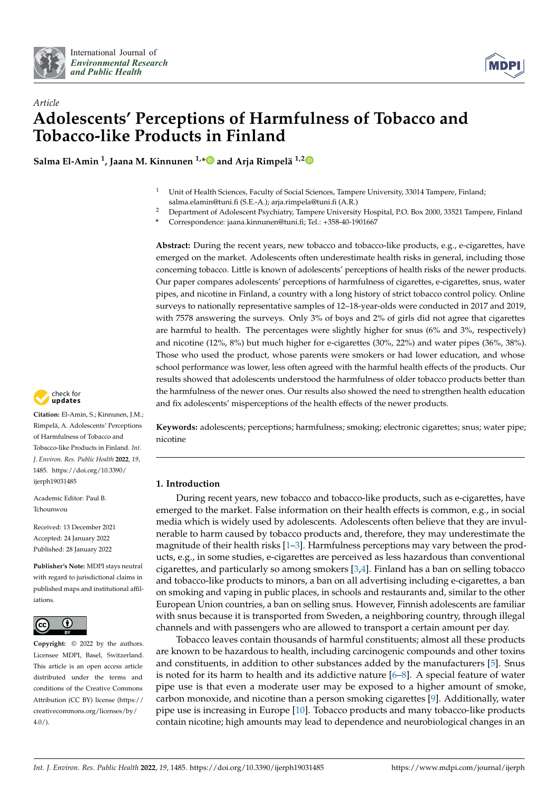



# *Article* **Adolescents' Perceptions of Harmfulness of Tobacco and Tobacco-like Products in Finland**

**Salma El-Amin <sup>1</sup> , Jaana M. Kinnunen 1,[\\*](https://orcid.org/0000-0002-2772-7969) and Arja Rimpelä 1,[2](https://orcid.org/0000-0003-3273-6226)**

- <sup>1</sup> Unit of Health Sciences, Faculty of Social Sciences, Tampere University, 33014 Tampere, Finland; salma.elamin@tuni.fi (S.E.-A.); arja.rimpela@tuni.fi (A.R.)
- <sup>2</sup> Department of Adolescent Psychiatry, Tampere University Hospital, P.O. Box 2000, 33521 Tampere, Finland
	- **\*** Correspondence: jaana.kinnunen@tuni.fi; Tel.: +358-40-1901667

Abstract: During the recent years, new tobacco and tobacco-like products, e.g., e-cigarettes, have emerged on the market. Adolescents often underestimate health risks in general, including those concerning tobacco. Little is known of adolescents' perceptions of health risks of the newer products. Our paper compares adolescents' perceptions of harmfulness of cigarettes, e-cigarettes, snus, water pipes, and nicotine in Finland, a country with a long history of strict tobacco control policy. Online surveys to nationally representative samples of 12–18-year-olds were conducted in 2017 and 2019, with 7578 answering the surveys. Only 3% of boys and 2% of girls did not agree that cigarettes are harmful to health. The percentages were slightly higher for snus (6% and 3%, respectively) and nicotine (12%, 8%) but much higher for e-cigarettes (30%, 22%) and water pipes (36%, 38%). Those who used the product, whose parents were smokers or had lower education, and whose school performance was lower, less often agreed with the harmful health effects of the products. Our results showed that adolescents understood the harmfulness of older tobacco products better than the harmfulness of the newer ones. Our results also showed the need to strengthen health education and fix adolescents' misperceptions of the health effects of the newer products.



**Citation:** El-Amin, S.; Kinnunen, J.M.; Rimpelä, A. Adolescents' Perceptions of Harmfulness of Tobacco and Tobacco-like Products in Finland. *Int. J. Environ. Res. Public Health* **2022**, *19*, 1485. [https://doi.org/10.3390/](https://doi.org/10.3390/ijerph19031485) [ijerph19031485](https://doi.org/10.3390/ijerph19031485)

Academic Editor: Paul B. Tchounwou

Received: 13 December 2021 Accepted: 24 January 2022 Published: 28 January 2022

**Publisher's Note:** MDPI stays neutral with regard to jurisdictional claims in published maps and institutional affiliations.



**Copyright:** © 2022 by the authors. Licensee MDPI, Basel, Switzerland. This article is an open access article distributed under the terms and conditions of the Creative Commons Attribution (CC BY) license [\(https://](https://creativecommons.org/licenses/by/4.0/) [creativecommons.org/licenses/by/](https://creativecommons.org/licenses/by/4.0/)  $4.0/$ ).

**Keywords:** adolescents; perceptions; harmfulness; smoking; electronic cigarettes; snus; water pipe; nicotine

## **1. Introduction**

During recent years, new tobacco and tobacco-like products, such as e-cigarettes, have emerged to the market. False information on their health effects is common, e.g., in social media which is widely used by adolescents. Adolescents often believe that they are invulnerable to harm caused by tobacco products and, therefore, they may underestimate the magnitude of their health risks [\[1](#page-7-0)[–3\]](#page-7-1). Harmfulness perceptions may vary between the products, e.g., in some studies, e-cigarettes are perceived as less hazardous than conventional cigarettes, and particularly so among smokers [\[3,](#page-7-1)[4\]](#page-7-2). Finland has a ban on selling tobacco and tobacco-like products to minors, a ban on all advertising including e-cigarettes, a ban on smoking and vaping in public places, in schools and restaurants and, similar to the other European Union countries, a ban on selling snus. However, Finnish adolescents are familiar with snus because it is transported from Sweden, a neighboring country, through illegal channels and with passengers who are allowed to transport a certain amount per day.

Tobacco leaves contain thousands of harmful constituents; almost all these products are known to be hazardous to health, including carcinogenic compounds and other toxins and constituents, in addition to other substances added by the manufacturers [\[5\]](#page-7-3). Snus is noted for its harm to health and its addictive nature  $[6–8]$  $[6–8]$ . A special feature of water pipe use is that even a moderate user may be exposed to a higher amount of smoke, carbon monoxide, and nicotine than a person smoking cigarettes [\[9\]](#page-7-6). Additionally, water pipe use is increasing in Europe [\[10\]](#page-7-7). Tobacco products and many tobacco-like products contain nicotine; high amounts may lead to dependence and neurobiological changes in an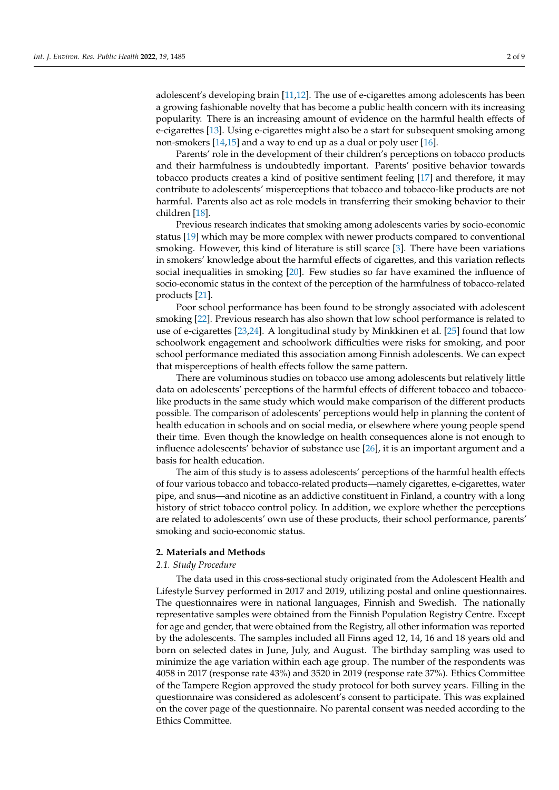adolescent's developing brain [\[11](#page-7-8)[,12\]](#page-7-9). The use of e-cigarettes among adolescents has been a growing fashionable novelty that has become a public health concern with its increasing popularity. There is an increasing amount of evidence on the harmful health effects of e-cigarettes [\[13\]](#page-7-10). Using e-cigarettes might also be a start for subsequent smoking among non-smokers [\[14](#page-7-11)[,15\]](#page-8-0) and a way to end up as a dual or poly user [\[16\]](#page-8-1).

Parents' role in the development of their children's perceptions on tobacco products and their harmfulness is undoubtedly important. Parents' positive behavior towards tobacco products creates a kind of positive sentiment feeling [\[17\]](#page-8-2) and therefore, it may contribute to adolescents' misperceptions that tobacco and tobacco-like products are not harmful. Parents also act as role models in transferring their smoking behavior to their children [\[18\]](#page-8-3).

Previous research indicates that smoking among adolescents varies by socio-economic status [\[19\]](#page-8-4) which may be more complex with newer products compared to conventional smoking. However, this kind of literature is still scarce [\[3\]](#page-7-1). There have been variations in smokers' knowledge about the harmful effects of cigarettes, and this variation reflects social inequalities in smoking [\[20\]](#page-8-5). Few studies so far have examined the influence of socio-economic status in the context of the perception of the harmfulness of tobacco-related products [\[21\]](#page-8-6).

Poor school performance has been found to be strongly associated with adolescent smoking [\[22\]](#page-8-7). Previous research has also shown that low school performance is related to use of e-cigarettes [\[23,](#page-8-8)[24\]](#page-8-9). A longitudinal study by Minkkinen et al. [\[25\]](#page-8-10) found that low schoolwork engagement and schoolwork difficulties were risks for smoking, and poor school performance mediated this association among Finnish adolescents. We can expect that misperceptions of health effects follow the same pattern.

There are voluminous studies on tobacco use among adolescents but relatively little data on adolescents' perceptions of the harmful effects of different tobacco and tobaccolike products in the same study which would make comparison of the different products possible. The comparison of adolescents' perceptions would help in planning the content of health education in schools and on social media, or elsewhere where young people spend their time. Even though the knowledge on health consequences alone is not enough to influence adolescents' behavior of substance use [\[26\]](#page-8-11), it is an important argument and a basis for health education.

The aim of this study is to assess adolescents' perceptions of the harmful health effects of four various tobacco and tobacco-related products—namely cigarettes, e-cigarettes, water pipe, and snus—and nicotine as an addictive constituent in Finland, a country with a long history of strict tobacco control policy. In addition, we explore whether the perceptions are related to adolescents' own use of these products, their school performance, parents' smoking and socio-economic status.

#### **2. Materials and Methods**

## *2.1. Study Procedure*

The data used in this cross-sectional study originated from the Adolescent Health and Lifestyle Survey performed in 2017 and 2019, utilizing postal and online questionnaires. The questionnaires were in national languages, Finnish and Swedish. The nationally representative samples were obtained from the Finnish Population Registry Centre. Except for age and gender, that were obtained from the Registry, all other information was reported by the adolescents. The samples included all Finns aged 12, 14, 16 and 18 years old and born on selected dates in June, July, and August. The birthday sampling was used to minimize the age variation within each age group. The number of the respondents was 4058 in 2017 (response rate 43%) and 3520 in 2019 (response rate 37%). Ethics Committee of the Tampere Region approved the study protocol for both survey years. Filling in the questionnaire was considered as adolescent's consent to participate. This was explained on the cover page of the questionnaire. No parental consent was needed according to the Ethics Committee.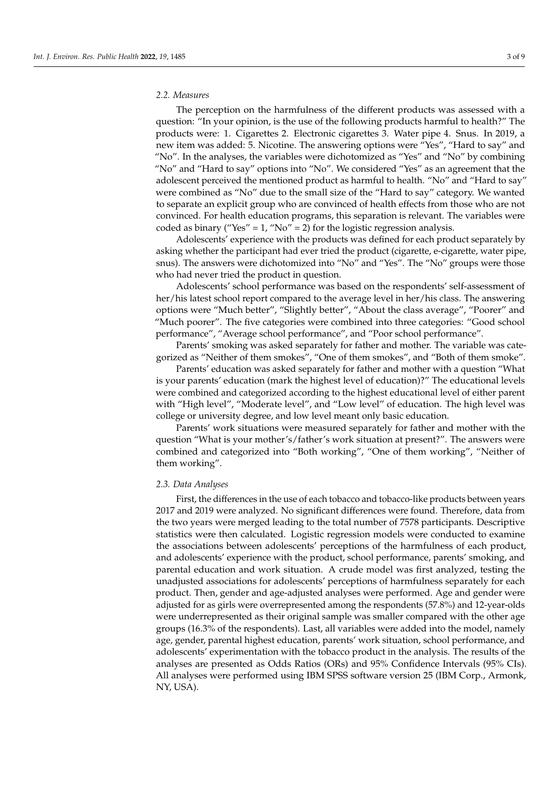#### *2.2. Measures*

The perception on the harmfulness of the different products was assessed with a question: "In your opinion, is the use of the following products harmful to health?" The products were: 1. Cigarettes 2. Electronic cigarettes 3. Water pipe 4. Snus. In 2019, a new item was added: 5. Nicotine. The answering options were "Yes", "Hard to say" and "No". In the analyses, the variables were dichotomized as "Yes" and "No" by combining "No" and "Hard to say" options into "No". We considered "Yes" as an agreement that the adolescent perceived the mentioned product as harmful to health. "No" and "Hard to say" were combined as "No" due to the small size of the "Hard to say" category. We wanted to separate an explicit group who are convinced of health effects from those who are not convinced. For health education programs, this separation is relevant. The variables were coded as binary ("Yes" = 1, "No" = 2) for the logistic regression analysis.

Adolescents' experience with the products was defined for each product separately by asking whether the participant had ever tried the product (cigarette, e-cigarette, water pipe, snus). The answers were dichotomized into "No" and "Yes". The "No" groups were those who had never tried the product in question.

Adolescents' school performance was based on the respondents' self-assessment of her/his latest school report compared to the average level in her/his class. The answering options were "Much better", "Slightly better", "About the class average", "Poorer" and "Much poorer". The five categories were combined into three categories: "Good school performance", "Average school performance", and "Poor school performance".

Parents' smoking was asked separately for father and mother. The variable was categorized as "Neither of them smokes", "One of them smokes", and "Both of them smoke".

Parents' education was asked separately for father and mother with a question "What is your parents' education (mark the highest level of education)?" The educational levels were combined and categorized according to the highest educational level of either parent with "High level", "Moderate level", and "Low level" of education. The high level was college or university degree, and low level meant only basic education.

Parents' work situations were measured separately for father and mother with the question "What is your mother's/father's work situation at present?". The answers were combined and categorized into "Both working", "One of them working", "Neither of them working".

#### *2.3. Data Analyses*

First, the differences in the use of each tobacco and tobacco-like products between years 2017 and 2019 were analyzed. No significant differences were found. Therefore, data from the two years were merged leading to the total number of 7578 participants. Descriptive statistics were then calculated. Logistic regression models were conducted to examine the associations between adolescents' perceptions of the harmfulness of each product, and adolescents' experience with the product, school performance, parents' smoking, and parental education and work situation. A crude model was first analyzed, testing the unadjusted associations for adolescents' perceptions of harmfulness separately for each product. Then, gender and age-adjusted analyses were performed. Age and gender were adjusted for as girls were overrepresented among the respondents (57.8%) and 12-year-olds were underrepresented as their original sample was smaller compared with the other age groups (16.3% of the respondents). Last, all variables were added into the model, namely age, gender, parental highest education, parents' work situation, school performance, and adolescents' experimentation with the tobacco product in the analysis. The results of the analyses are presented as Odds Ratios (ORs) and 95% Confidence Intervals (95% CIs). All analyses were performed using IBM SPSS software version 25 (IBM Corp., Armonk, NY, USA).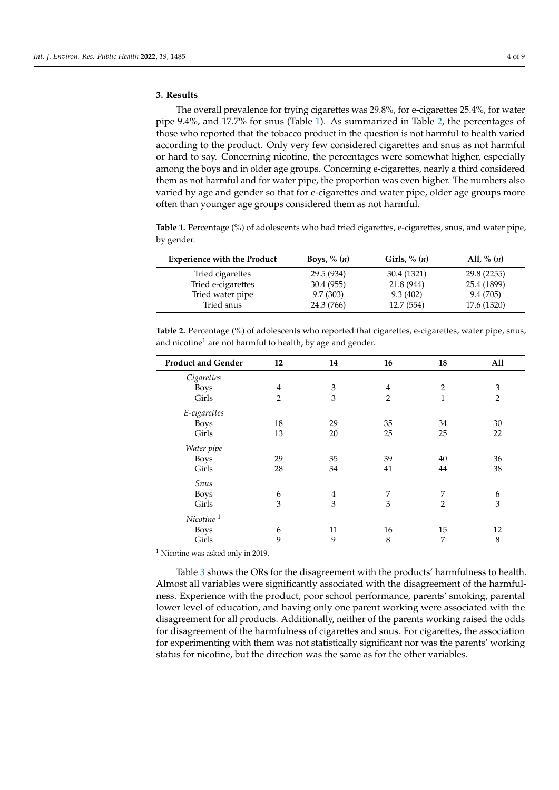## **3. Results**

The overall prevalence for trying cigarettes was 29.8%, for e-cigarettes 25.4%, for water pipe 9.4%, and 17.7% for snus (Table [1\)](#page-3-0). As summarized in Table [2,](#page-3-1) the percentages of those who reported that the tobacco product in the question is not harmful to health varied according to the product. Only very few considered cigarettes and snus as not harmful or hard to say. Concerning nicotine, the percentages were somewhat higher, especially among the boys and in older age groups. Concerning e-cigarettes, nearly a third considered them as not harmful and for water pipe, the proportion was even higher. The numbers also varied by age and gender so that for e-cigarettes and water pipe, older age groups more often than younger age groups considered them as not harmful.

<span id="page-3-0"></span>**Table 1.** Percentage (%) of adolescents who had tried cigarettes, e-cigarettes, snus, and water pipe, by gender.

| <b>Experience with the Product</b> | Boys, $\%$ $(n)$ | Girls, $\%$ $(n)$ | All, % $(n)$ |
|------------------------------------|------------------|-------------------|--------------|
| Tried cigarettes                   | 29.5 (934)       | 30.4 (1321)       | 29.8 (2255)  |
| Tried e-cigarettes                 | 30.4(955)        | 21.8 (944)        | 25.4 (1899)  |
| Tried water pipe                   | 9.7(303)         | 9.3(402)          | 9.4 (705)    |
| Tried snus                         | 24.3 (766)       | 12.7 (554)        | 17.6 (1320)  |

<span id="page-3-1"></span>**Table 2.** Percentage (%) of adolescents who reported that cigarettes, e-cigarettes, water pipe, snus, and nicotine<sup>1</sup> are not harmful to health, by age and gender.

| <b>Product and Gender</b> | 12             | 14 | 16 | 18             | All |
|---------------------------|----------------|----|----|----------------|-----|
| Cigarettes                |                |    |    |                |     |
| <b>Boys</b>               | 4              | 3  | 4  | 2              | 3   |
| Girls                     | $\overline{2}$ | 3  | 2  | 1              | 2   |
| E-cigarettes              |                |    |    |                |     |
| <b>Boys</b>               | 18             | 29 | 35 | 34             | 30  |
| Girls                     | 13             | 20 | 25 | 25             | 22  |
| Water pipe                |                |    |    |                |     |
| <b>Boys</b>               | 29             | 35 | 39 | 40             | 36  |
| Girls                     | 28             | 34 | 41 | 44             | 38  |
| Snus                      |                |    |    |                |     |
| <b>Boys</b>               | 6              | 4  | 7  | 7              | 6   |
| Girls                     | 3              | 3  | 3  | $\overline{2}$ | 3   |
| Nicotine <sup>1</sup>     |                |    |    |                |     |
| <b>Boys</b>               | 6              | 11 | 16 | 15             | 12  |
| Girls                     | 9              | 9  | 8  | 7              | 8   |

<sup>1</sup> Nicotine was asked only in 2019.

Table [3](#page-4-0) shows the ORs for the disagreement with the products' harmfulness to health. Almost all variables were significantly associated with the disagreement of the harmfulness. Experience with the product, poor school performance, parents' smoking, parental lower level of education, and having only one parent working were associated with the disagreement for all products. Additionally, neither of the parents working raised the odds for disagreement of the harmfulness of cigarettes and snus. For cigarettes, the association for experimenting with them was not statistically significant nor was the parents' working status for nicotine, but the direction was the same as for the other variables.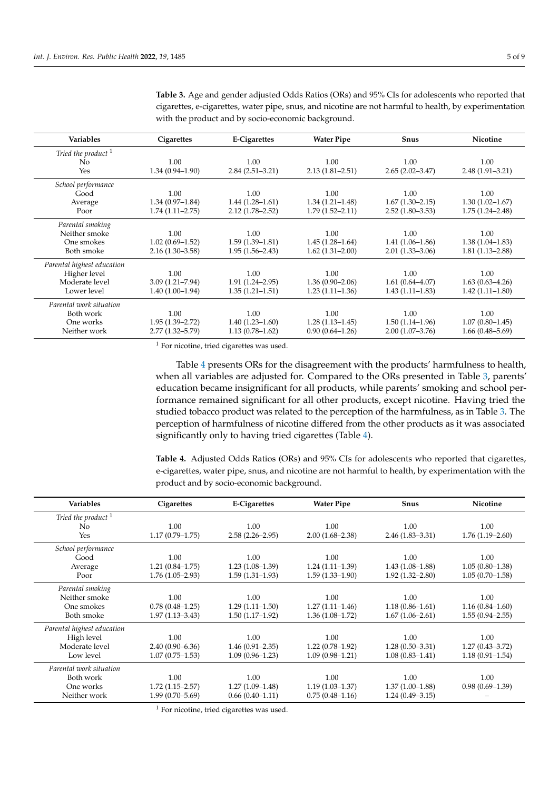| Variables                  | Cigarettes          | E-Cigarettes        | <b>Water Pipe</b>   | Snus                | Nicotine            |
|----------------------------|---------------------|---------------------|---------------------|---------------------|---------------------|
| Tried the product $1$      |                     |                     |                     |                     |                     |
| No.                        | 1.00                | 1.00                | 1.00                | 1.00                | 1.00                |
| Yes                        | $1.34(0.94 - 1.90)$ | $2.84(2.51-3.21)$   | $2.13(1.81 - 2.51)$ | $2.65(2.02 - 3.47)$ | $2.48(1.91 - 3.21)$ |
| School performance         |                     |                     |                     |                     |                     |
| Good                       | 1.00                | 1.00                | 1.00                | 1.00                | 1.00                |
| Average                    | $1.34(0.97-1.84)$   | $1.44(1.28-1.61)$   | $1.34(1.21 - 1.48)$ | $1.67(1.30 - 2.15)$ | $1.30(1.02 - 1.67)$ |
| Poor                       | $1.74(1.11 - 2.75)$ | $2.12(1.78 - 2.52)$ | $1.79(1.52 - 2.11)$ | $2.52(1.80-3.53)$   | $1.75(1.24 - 2.48)$ |
| Parental smoking           |                     |                     |                     |                     |                     |
| Neither smoke              | 1.00                | 1.00                | 1.00                | 1.00                | 1.00                |
| One smokes                 | $1.02(0.69 - 1.52)$ | $1.59(1.39-1.81)$   | $1.45(1.28-1.64)$   | $1.41(1.06-1.86)$   | $1.38(1.04 - 1.83)$ |
| Both smoke                 | $2.16(1.30-3.58)$   | $1.95(1.56 - 2.43)$ | $1.62(1.31-2.00)$   | $2.01(1.33 - 3.06)$ | $1.81(1.13 - 2.88)$ |
| Parental highest education |                     |                     |                     |                     |                     |
| Higher level               | 1.00                | 1.00                | 1.00                | 1.00                | 1.00                |
| Moderate level             | $3.09(1.21 - 7.94)$ | $1.91(1.24 - 2.95)$ | $1.36(0.90 - 2.06)$ | $1.61(0.64 - 4.07)$ | $1.63(0.63 - 4.26)$ |
| Lower level                | $1.40(1.00-1.94)$   | $1.35(1.21 - 1.51)$ | $1.23(1.11-1.36)$   | $1.43(1.11-1.83)$   | $1.42(1.11-1.80)$   |
| Parental work situation    |                     |                     |                     |                     |                     |
| Both work                  | 1.00                | 1.00                | 1.00                | 1.00                | 1.00                |
| One works                  | $1.95(1.39 - 2.72)$ | $1.40(1.23 - 1.60)$ | $1.28(1.13 - 1.45)$ | $1.50(1.14-1.96)$   | $1.07(0.80 - 1.45)$ |
| Neither work               | $2.77(1.32 - 5.79)$ | $1.13(0.78 - 1.62)$ | $0.90(0.64 - 1.26)$ | $2.00(1.07-3.76)$   | $1.66(0.48 - 5.69)$ |

<span id="page-4-0"></span>**Table 3.** Age and gender adjusted Odds Ratios (ORs) and 95% CIs for adolescents who reported that cigarettes, e-cigarettes, water pipe, snus, and nicotine are not harmful to health, by experimentation with the product and by socio-economic background.

<sup>1</sup> For nicotine, tried cigarettes was used.

Table [4](#page-4-1) presents ORs for the disagreement with the products' harmfulness to health, when all variables are adjusted for. Compared to the ORs presented in Table [3,](#page-4-0) parents' education became insignificant for all products, while parents' smoking and school performance remained significant for all other products, except nicotine. Having tried the studied tobacco product was related to the perception of the harmfulness, as in Table [3.](#page-4-0) The perception of harmfulness of nicotine differed from the other products as it was associated significantly only to having tried cigarettes (Table [4\)](#page-4-1).

<span id="page-4-1"></span>**Table 4.** Adjusted Odds Ratios (ORs) and 95% CIs for adolescents who reported that cigarettes, e-cigarettes, water pipe, snus, and nicotine are not harmful to health, by experimentation with the product and by socio-economic background.

| <b>Variables</b>           | Cigarettes          | <b>E-Cigarettes</b> | <b>Water Pipe</b>   | Snus                | <b>Nicotine</b>     |
|----------------------------|---------------------|---------------------|---------------------|---------------------|---------------------|
| Tried the product $1$      |                     |                     |                     |                     |                     |
| No.                        | 1.00                | 1.00                | 1.00                | 1.00                | 1.00                |
| Yes                        | $1.17(0.79 - 1.75)$ | $2.58(2.26 - 2.95)$ | $2.00(1.68 - 2.38)$ | $2.46(1.83 - 3.31)$ | $1.76(1.19-2.60)$   |
| School performance         |                     |                     |                     |                     |                     |
| Good                       | 1.00                | 1.00                | 1.00                | 1.00                | 1.00                |
| Average                    | $1.21(0.84 - 1.75)$ | $1.23(1.08-1.39)$   | $1.24(1.11-1.39)$   | $1.43(1.08-1.88)$   | $1.05(0.80-1.38)$   |
| Poor                       | $1.76(1.05-2.93)$   | $1.59(1.31-1.93)$   | $1.59(1.33 - 1.90)$ | $1.92(1.32 - 2.80)$ | $1.05(0.70-1.58)$   |
| Parental smoking           |                     |                     |                     |                     |                     |
| Neither smoke              | 1.00                | 1.00                | 1.00                | 1.00                | 1.00                |
| One smokes                 | $0.78(0.48 - 1.25)$ | $1.29(1.11-1.50)$   | $1.27(1.11 - 1.46)$ | $1.18(0.86 - 1.61)$ | $1.16(0.84 - 1.60)$ |
| Both smoke                 | $1.97(1.13 - 3.43)$ | $1.50(1.17-1.92)$   | $1.36(1.08-1.72)$   | $1.67(1.06 - 2.61)$ | $1.55(0.94 - 2.55)$ |
| Parental highest education |                     |                     |                     |                     |                     |
| High level                 | 1.00                | 1.00                | 1.00                | 1.00                | 1.00                |
| Moderate level             | $2.40(0.90 - 6.36)$ | $1.46(0.91 - 2.35)$ | $1.22(0.78-1.92)$   | $1.28(0.50-3.31)$   | $1.27(0.43 - 3.72)$ |
| Low level                  | $1.07(0.75 - 1.53)$ | $1.09(0.96 - 1.23)$ | $1.09(0.98 - 1.21)$ | $1.08(0.83 - 1.41)$ | $1.18(0.91 - 1.54)$ |
| Parental work situation    |                     |                     |                     |                     |                     |
| Both work                  | 1.00                | 1.00                | 1.00                | 1.00                | 1.00                |
| One works                  | $1.72(1.15-2.57)$   | $1.27(1.09-1.48)$   | $1.19(1.03 - 1.37)$ | $1.37(1.00-1.88)$   | $0.98(0.69 - 1.39)$ |
| Neither work               | $1.99(0.70 - 5.69)$ | $0.66(0.40-1.11)$   | $0.75(0.48 - 1.16)$ | $1.24(0.49 - 3.15)$ |                     |

<sup>1</sup> For nicotine, tried cigarettes was used.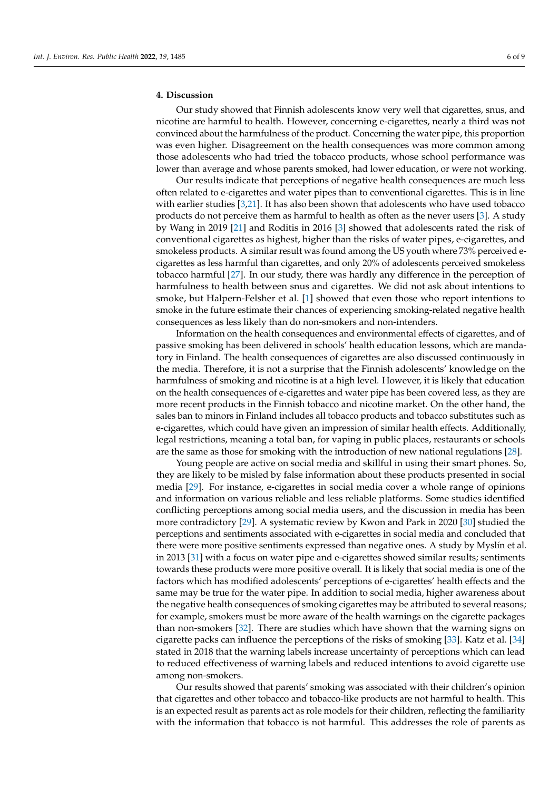## **4. Discussion**

Our study showed that Finnish adolescents know very well that cigarettes, snus, and nicotine are harmful to health. However, concerning e-cigarettes, nearly a third was not convinced about the harmfulness of the product. Concerning the water pipe, this proportion was even higher. Disagreement on the health consequences was more common among those adolescents who had tried the tobacco products, whose school performance was lower than average and whose parents smoked, had lower education, or were not working.

Our results indicate that perceptions of negative health consequences are much less often related to e-cigarettes and water pipes than to conventional cigarettes. This is in line with earlier studies [\[3,](#page-7-1)[21\]](#page-8-6). It has also been shown that adolescents who have used tobacco products do not perceive them as harmful to health as often as the never users [\[3\]](#page-7-1). A study by Wang in 2019 [\[21\]](#page-8-6) and Roditis in 2016 [\[3\]](#page-7-1) showed that adolescents rated the risk of conventional cigarettes as highest, higher than the risks of water pipes, e-cigarettes, and smokeless products. A similar result was found among the US youth where 73% perceived ecigarettes as less harmful than cigarettes, and only 20% of adolescents perceived smokeless tobacco harmful [\[27\]](#page-8-12). In our study, there was hardly any difference in the perception of harmfulness to health between snus and cigarettes. We did not ask about intentions to smoke, but Halpern-Felsher et al. [\[1\]](#page-7-0) showed that even those who report intentions to smoke in the future estimate their chances of experiencing smoking-related negative health consequences as less likely than do non-smokers and non-intenders.

Information on the health consequences and environmental effects of cigarettes, and of passive smoking has been delivered in schools' health education lessons, which are mandatory in Finland. The health consequences of cigarettes are also discussed continuously in the media. Therefore, it is not a surprise that the Finnish adolescents' knowledge on the harmfulness of smoking and nicotine is at a high level. However, it is likely that education on the health consequences of e-cigarettes and water pipe has been covered less, as they are more recent products in the Finnish tobacco and nicotine market. On the other hand, the sales ban to minors in Finland includes all tobacco products and tobacco substitutes such as e-cigarettes, which could have given an impression of similar health effects. Additionally, legal restrictions, meaning a total ban, for vaping in public places, restaurants or schools are the same as those for smoking with the introduction of new national regulations [\[28\]](#page-8-13).

Young people are active on social media and skillful in using their smart phones. So, they are likely to be misled by false information about these products presented in social media [\[29\]](#page-8-14). For instance, e-cigarettes in social media cover a whole range of opinions and information on various reliable and less reliable platforms. Some studies identified conflicting perceptions among social media users, and the discussion in media has been more contradictory [\[29\]](#page-8-14). A systematic review by Kwon and Park in 2020 [\[30\]](#page-8-15) studied the perceptions and sentiments associated with e-cigarettes in social media and concluded that there were more positive sentiments expressed than negative ones. A study by Myslín et al. in 2013 [\[31\]](#page-8-16) with a focus on water pipe and e-cigarettes showed similar results; sentiments towards these products were more positive overall. It is likely that social media is one of the factors which has modified adolescents' perceptions of e-cigarettes' health effects and the same may be true for the water pipe. In addition to social media, higher awareness about the negative health consequences of smoking cigarettes may be attributed to several reasons; for example, smokers must be more aware of the health warnings on the cigarette packages than non-smokers [\[32\]](#page-8-17). There are studies which have shown that the warning signs on cigarette packs can influence the perceptions of the risks of smoking [\[33\]](#page-8-18). Katz et al. [\[34\]](#page-8-19) stated in 2018 that the warning labels increase uncertainty of perceptions which can lead to reduced effectiveness of warning labels and reduced intentions to avoid cigarette use among non-smokers.

Our results showed that parents' smoking was associated with their children's opinion that cigarettes and other tobacco and tobacco-like products are not harmful to health. This is an expected result as parents act as role models for their children, reflecting the familiarity with the information that tobacco is not harmful. This addresses the role of parents as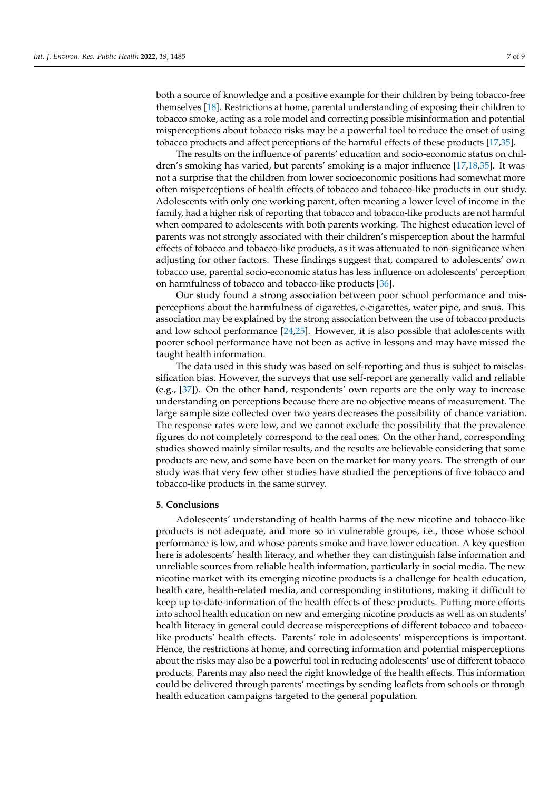both a source of knowledge and a positive example for their children by being tobacco-free themselves [\[18\]](#page-8-3). Restrictions at home, parental understanding of exposing their children to tobacco smoke, acting as a role model and correcting possible misinformation and potential misperceptions about tobacco risks may be a powerful tool to reduce the onset of using tobacco products and affect perceptions of the harmful effects of these products [\[17,](#page-8-2)[35\]](#page-8-20).

The results on the influence of parents' education and socio-economic status on children's smoking has varied, but parents' smoking is a major influence [\[17](#page-8-2)[,18](#page-8-3)[,35\]](#page-8-20). It was not a surprise that the children from lower socioeconomic positions had somewhat more often misperceptions of health effects of tobacco and tobacco-like products in our study. Adolescents with only one working parent, often meaning a lower level of income in the family, had a higher risk of reporting that tobacco and tobacco-like products are not harmful when compared to adolescents with both parents working. The highest education level of parents was not strongly associated with their children's misperception about the harmful effects of tobacco and tobacco-like products, as it was attenuated to non-significance when adjusting for other factors. These findings suggest that, compared to adolescents' own tobacco use, parental socio-economic status has less influence on adolescents' perception on harmfulness of tobacco and tobacco-like products [\[36\]](#page-8-21).

Our study found a strong association between poor school performance and misperceptions about the harmfulness of cigarettes, e-cigarettes, water pipe, and snus. This association may be explained by the strong association between the use of tobacco products and low school performance [\[24](#page-8-9)[,25\]](#page-8-10). However, it is also possible that adolescents with poorer school performance have not been as active in lessons and may have missed the taught health information.

The data used in this study was based on self-reporting and thus is subject to misclassification bias. However, the surveys that use self-report are generally valid and reliable (e.g., [\[37\]](#page-8-22)). On the other hand, respondents' own reports are the only way to increase understanding on perceptions because there are no objective means of measurement. The large sample size collected over two years decreases the possibility of chance variation. The response rates were low, and we cannot exclude the possibility that the prevalence figures do not completely correspond to the real ones. On the other hand, corresponding studies showed mainly similar results, and the results are believable considering that some products are new, and some have been on the market for many years. The strength of our study was that very few other studies have studied the perceptions of five tobacco and tobacco-like products in the same survey.

#### **5. Conclusions**

Adolescents' understanding of health harms of the new nicotine and tobacco-like products is not adequate, and more so in vulnerable groups, i.e., those whose school performance is low, and whose parents smoke and have lower education. A key question here is adolescents' health literacy, and whether they can distinguish false information and unreliable sources from reliable health information, particularly in social media. The new nicotine market with its emerging nicotine products is a challenge for health education, health care, health-related media, and corresponding institutions, making it difficult to keep up to-date-information of the health effects of these products. Putting more efforts into school health education on new and emerging nicotine products as well as on students' health literacy in general could decrease misperceptions of different tobacco and tobaccolike products' health effects. Parents' role in adolescents' misperceptions is important. Hence, the restrictions at home, and correcting information and potential misperceptions about the risks may also be a powerful tool in reducing adolescents' use of different tobacco products. Parents may also need the right knowledge of the health effects. This information could be delivered through parents' meetings by sending leaflets from schools or through health education campaigns targeted to the general population.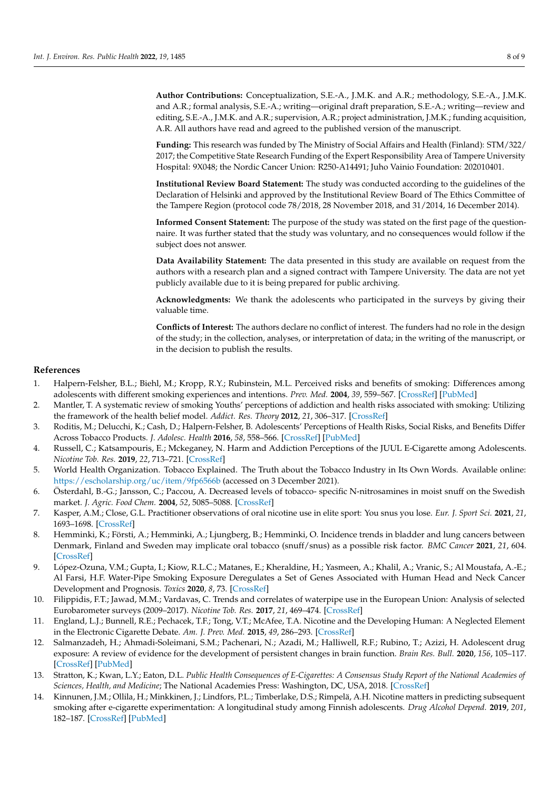**Author Contributions:** Conceptualization, S.E.-A., J.M.K. and A.R.; methodology, S.E.-A., J.M.K. and A.R.; formal analysis, S.E.-A.; writing—original draft preparation, S.E.-A.; writing—review and editing, S.E.-A., J.M.K. and A.R.; supervision, A.R.; project administration, J.M.K.; funding acquisition, A.R. All authors have read and agreed to the published version of the manuscript.

**Funding:** This research was funded by The Ministry of Social Affairs and Health (Finland): STM/322/ 2017; the Competitive State Research Funding of the Expert Responsibility Area of Tampere University Hospital: 9X048; the Nordic Cancer Union: R250-A14491; Juho Vainio Foundation: 202010401.

**Institutional Review Board Statement:** The study was conducted according to the guidelines of the Declaration of Helsinki and approved by the Institutional Review Board of The Ethics Committee of the Tampere Region (protocol code 78/2018, 28 November 2018, and 31/2014, 16 December 2014).

**Informed Consent Statement:** The purpose of the study was stated on the first page of the questionnaire. It was further stated that the study was voluntary, and no consequences would follow if the subject does not answer.

**Data Availability Statement:** The data presented in this study are available on request from the authors with a research plan and a signed contract with Tampere University. The data are not yet publicly available due to it is being prepared for public archiving.

**Acknowledgments:** We thank the adolescents who participated in the surveys by giving their valuable time.

**Conflicts of Interest:** The authors declare no conflict of interest. The funders had no role in the design of the study; in the collection, analyses, or interpretation of data; in the writing of the manuscript, or in the decision to publish the results.

#### **References**

- <span id="page-7-0"></span>1. Halpern-Felsher, B.L.; Biehl, M.; Kropp, R.Y.; Rubinstein, M.L. Perceived risks and benefits of smoking: Differences among adolescents with different smoking experiences and intentions. *Prev. Med.* **2004**, *39*, 559–567. [\[CrossRef\]](http://doi.org/10.1016/j.ypmed.2004.02.017) [\[PubMed\]](http://www.ncbi.nlm.nih.gov/pubmed/15313096)
- 2. Mantler, T. A systematic review of smoking Youths' perceptions of addiction and health risks associated with smoking: Utilizing the framework of the health belief model. *Addict. Res. Theory* **2012**, *21*, 306–317. [\[CrossRef\]](http://doi.org/10.3109/16066359.2012.727505)
- <span id="page-7-1"></span>3. Roditis, M.; Delucchi, K.; Cash, D.; Halpern-Felsher, B. Adolescents' Perceptions of Health Risks, Social Risks, and Benefits Differ Across Tobacco Products. *J. Adolesc. Health* **2016**, *58*, 558–566. [\[CrossRef\]](http://doi.org/10.1016/j.jadohealth.2016.01.012) [\[PubMed\]](http://www.ncbi.nlm.nih.gov/pubmed/27107909)
- <span id="page-7-2"></span>4. Russell, C.; Katsampouris, E.; Mckeganey, N. Harm and Addiction Perceptions of the JUUL E-Cigarette among Adolescents. *Nicotine Tob. Res.* **2019**, *22*, 713–721. [\[CrossRef\]](http://doi.org/10.1093/ntr/ntz183)
- <span id="page-7-3"></span>5. World Health Organization. Tobacco Explained. The Truth about the Tobacco Industry in Its Own Words. Available online: <https://escholarship.org/uc/item/9fp6566b> (accessed on 3 December 2021).
- <span id="page-7-4"></span>6. Österdahl, B.-G.; Jansson, C.; Paccou, A. Decreased levels of tobacco- specific N-nitrosamines in moist snuff on the Swedish market. *J. Agric. Food Chem.* **2004**, *52*, 5085–5088. [\[CrossRef\]](http://doi.org/10.1021/jf049931a)
- 7. Kasper, A.M.; Close, G.L. Practitioner observations of oral nicotine use in elite sport: You snus you lose. *Eur. J. Sport Sci.* **2021**, *21*, 1693–1698. [\[CrossRef\]](http://doi.org/10.1080/17461391.2020.1859621)
- <span id="page-7-5"></span>8. Hemminki, K.; Försti, A.; Hemminki, A.; Ljungberg, B.; Hemminki, O. Incidence trends in bladder and lung cancers between Denmark, Finland and Sweden may implicate oral tobacco (snuff/snus) as a possible risk factor. *BMC Cancer* **2021**, *21*, 604. [\[CrossRef\]](http://doi.org/10.1186/s12885-021-08371-w)
- <span id="page-7-6"></span>9. López-Ozuna, V.M.; Gupta, I.; Kiow, R.L.C.; Matanes, E.; Kheraldine, H.; Yasmeen, A.; Khalil, A.; Vranic, S.; Al Moustafa, A.-E.; Al Farsi, H.F. Water-Pipe Smoking Exposure Deregulates a Set of Genes Associated with Human Head and Neck Cancer Development and Prognosis. *Toxics* **2020**, *8*, 73. [\[CrossRef\]](http://doi.org/10.3390/toxics8030073)
- <span id="page-7-7"></span>10. Filippidis, F.T.; Jawad, M.M.; Vardavas, C. Trends and correlates of waterpipe use in the European Union: Analysis of selected Eurobarometer surveys (2009–2017). *Nicotine Tob. Res.* **2017**, *21*, 469–474. [\[CrossRef\]](http://doi.org/10.1093/ntr/ntx255)
- <span id="page-7-8"></span>11. England, L.J.; Bunnell, R.E.; Pechacek, T.F.; Tong, V.T.; McAfee, T.A. Nicotine and the Developing Human: A Neglected Element in the Electronic Cigarette Debate. *Am. J. Prev. Med.* **2015**, *49*, 286–293. [\[CrossRef\]](http://doi.org/10.1016/j.amepre.2015.01.015)
- <span id="page-7-9"></span>12. Salmanzadeh, H.; Ahmadi-Soleimani, S.M.; Pachenari, N.; Azadi, M.; Halliwell, R.F.; Rubino, T.; Azizi, H. Adolescent drug exposure: A review of evidence for the development of persistent changes in brain function. *Brain Res. Bull.* **2020**, *156*, 105–117. [\[CrossRef\]](http://doi.org/10.1016/j.brainresbull.2020.01.007) [\[PubMed\]](http://www.ncbi.nlm.nih.gov/pubmed/31926303)
- <span id="page-7-10"></span>13. Stratton, K.; Kwan, L.Y.; Eaton, D.L. *Public Health Consequences of E-Cigarettes: A Consensus Study Report of the National Academies of Sciences, Health, and Medicine*; The National Academies Press: Washington, DC, USA, 2018. [\[CrossRef\]](http://doi.org/10.17226/24952)
- <span id="page-7-11"></span>14. Kinnunen, J.M.; Ollila, H.; Minkkinen, J.; Lindfors, P.L.; Timberlake, D.S.; Rimpelä, A.H. Nicotine matters in predicting subsequent smoking after e-cigarette experimentation: A longitudinal study among Finnish adolescents. *Drug Alcohol Depend.* **2019**, *201*, 182–187. [\[CrossRef\]](http://doi.org/10.1016/j.drugalcdep.2019.04.019) [\[PubMed\]](http://www.ncbi.nlm.nih.gov/pubmed/31238240)